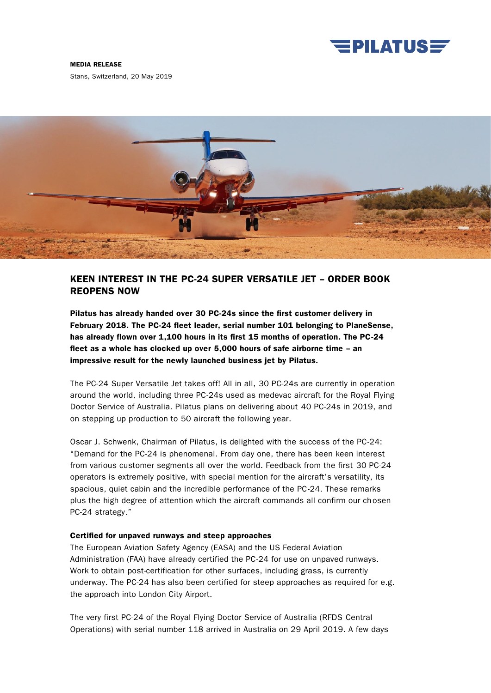

MEDIA RELEASE

Stans, Switzerland, 20 May 2019



# KEEN INTEREST IN THE PC-24 SUPER VERSATILE JET – ORDER BOOK REOPENS NOW

Pilatus has already handed over 30 PC-24s since the first customer delivery in February 2018. The PC-24 fleet leader, serial number 101 belonging to PlaneSense, has already flown over 1,100 hours in its first 15 months of operation. The PC-24 fleet as a whole has clocked up over 5,000 hours of safe airborne time – an impressive result for the newly launched business jet by Pilatus.

The PC-24 Super Versatile Jet takes off! All in all, 30 PC-24s are currently in operation around the world, including three PC-24s used as medevac aircraft for the Royal Flying Doctor Service of Australia. Pilatus plans on delivering about 40 PC-24s in 2019, and on stepping up production to 50 aircraft the following year.

Oscar J. Schwenk, Chairman of Pilatus, is delighted with the success of the PC-24: "Demand for the PC-24 is phenomenal. From day one, there has been keen interest from various customer segments all over the world. Feedback from the first 30 PC-24 operators is extremely positive, with special mention for the aircraft's versatility, its spacious, quiet cabin and the incredible performance of the PC-24. These remarks plus the high degree of attention which the aircraft commands all confirm our chosen PC-24 strategy."

### Certified for unpaved runways and steep approaches

The European Aviation Safety Agency (EASA) and the US Federal Aviation Administration (FAA) have already certified the PC-24 for use on unpaved runways. Work to obtain post-certification for other surfaces, including grass, is currently underway. The PC-24 has also been certified for steep approaches as required for e.g. the approach into London City Airport.

The very first PC-24 of the Royal Flying Doctor Service of Australia (RFDS Central Operations) with serial number 118 arrived in Australia on 29 April 2019. A few days